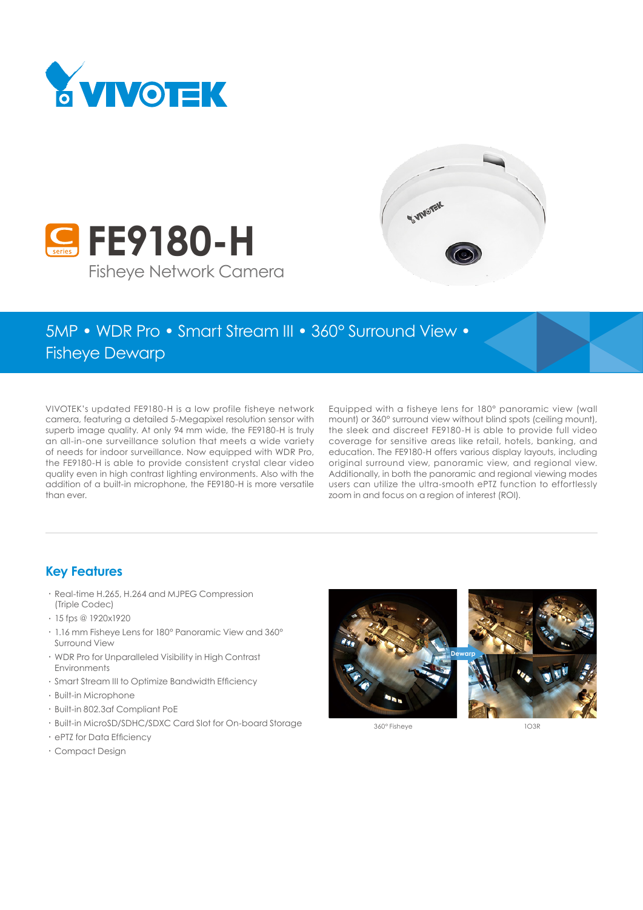

**C** FE9180-H



# 5MP • WDR Pro • Smart Stream III • 360° Surround View • Fisheye Dewarp

VIVOTEK's updated FE9180-H is a low profile fisheye network camera, featuring a detailed 5-Megapixel resolution sensor with superb image quality. At only 94 mm wide, the FE9180-H is truly an all-in-one surveillance solution that meets a wide variety of needs for indoor surveillance. Now equipped with WDR Pro, the FE9180-H is able to provide consistent crystal clear video quality even in high contrast lighting environments. Also with the addition of a built-in microphone, the FE9180-H is more versatile than ever.

Fisheye Network Camera

Equipped with a fisheye lens for 180° panoramic view (wall mount) or 360° surround view without blind spots (ceiling mount), the sleek and discreet FE9180-H is able to provide full video coverage for sensitive areas like retail, hotels, banking, and education. The FE9180-H offers various display layouts, including original surround view, panoramic view, and regional view. Additionally, in both the panoramic and regional viewing modes users can utilize the ultra-smooth ePTZ function to effortlessly zoom in and focus on a region of interest (ROI).

#### **Key Features**

- • Real-time H.265, H.264 and MJPEG Compression (Triple Codec)
- • 15 fps @ 1920x1920
- • 1.16 mm Fisheye Lens for 180° Panoramic View and 360° Surround View
- • WDR Pro for Unparalleled Visibility in High Contrast Environments
- • Smart Stream III to Optimize Bandwidth Efficiency
- • Built-in Microphone
- • Built-in 802.3af Compliant PoE
- • Built-in MicroSD/SDHC/SDXC Card Slot for On-board Storage
- • ePTZ for Data Efficiency
- • Compact Design



360° Fisheye 1O3R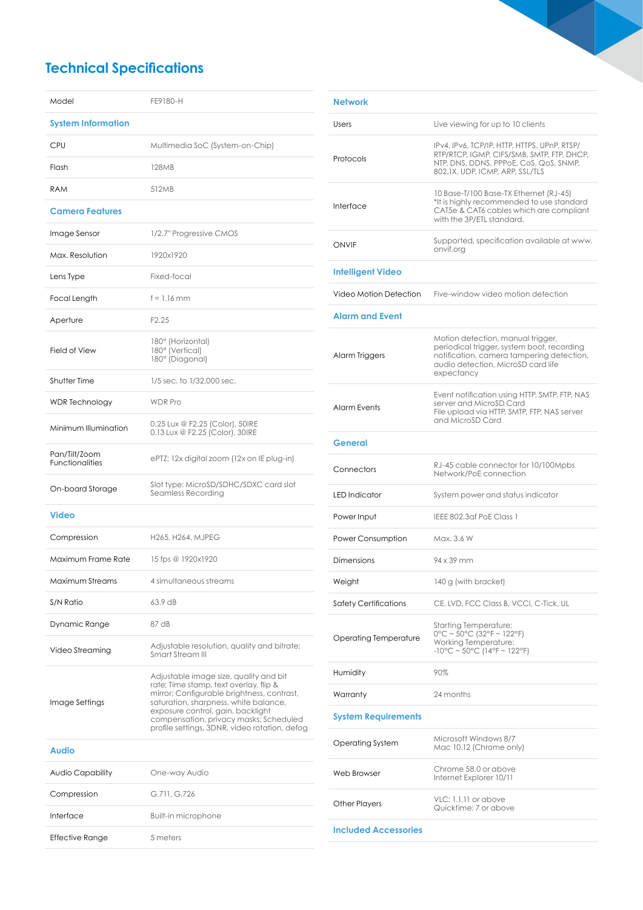## **Technical Specifications**

| Model                                   | FE9180-H                                                                                                                                                                                                                                                                                                |
|-----------------------------------------|---------------------------------------------------------------------------------------------------------------------------------------------------------------------------------------------------------------------------------------------------------------------------------------------------------|
| <b>System Information</b>               |                                                                                                                                                                                                                                                                                                         |
| CPU                                     | Multimedia SoC (System-on-Chip)                                                                                                                                                                                                                                                                         |
| Flash                                   | <b>128MB</b>                                                                                                                                                                                                                                                                                            |
| RAM                                     | 512MB                                                                                                                                                                                                                                                                                                   |
| <b>Camera Features</b>                  |                                                                                                                                                                                                                                                                                                         |
| Image Sensor                            | 1/2.7" Progressive CMOS                                                                                                                                                                                                                                                                                 |
| Max. Resolution                         | 1920x1920                                                                                                                                                                                                                                                                                               |
| Lens Type                               | Fixed-focal                                                                                                                                                                                                                                                                                             |
| Focal Length                            | $f = 1.16$ mm                                                                                                                                                                                                                                                                                           |
| Aperture                                | F <sub>2.25</sub>                                                                                                                                                                                                                                                                                       |
| Field of View                           | 180° (Horizontal)<br>180° (Vertical)<br>180° (Diagonal)                                                                                                                                                                                                                                                 |
| <b>Shutter Time</b>                     | 1/5 sec. to 1/32,000 sec.                                                                                                                                                                                                                                                                               |
| <b>WDR Technology</b>                   | <b>WDR Pro</b>                                                                                                                                                                                                                                                                                          |
| Minimum Illumination                    | 0.25 Lux @ F2.25 (Color), 50IRE<br>0.13 Lux @ F2.25 (Color), 30IRE                                                                                                                                                                                                                                      |
| Pan/Tilt/Zoom<br><b>Functionalities</b> | ePTZ: 12x digital zoom (12x on IE plug-in)                                                                                                                                                                                                                                                              |
| On-board Storage                        | Slot type: MicroSD/SDHC/SDXC card slot<br>Seamless Recording                                                                                                                                                                                                                                            |
| Video                                   |                                                                                                                                                                                                                                                                                                         |
| Compression                             | H265, H264, MJPEG                                                                                                                                                                                                                                                                                       |
| Maximum Frame Rate                      | 15 fps @ 1920x1920                                                                                                                                                                                                                                                                                      |
| Maximum Streams                         | 4 simultaneous streams                                                                                                                                                                                                                                                                                  |
| S/N Ratio                               | 63.9 dB                                                                                                                                                                                                                                                                                                 |
| Dynamic Range                           | 87 dB                                                                                                                                                                                                                                                                                                   |
| Video Streaming                         | Adjustable resolution, quality and bitrate;<br>Smart Stream III                                                                                                                                                                                                                                         |
| Image Settings                          | Adjustable image size, quality and bit<br>rate; Time stamp, text overlay, flip &<br>mirror; Configurable brightness, contrast,<br>saturation, sharpness, white balance,<br>exposure control, gain, backlight<br>compensation, privacy masks; Scheduled<br>profile settings, 3DNR, video rotation, defog |
| <b>Audio</b>                            |                                                                                                                                                                                                                                                                                                         |
| Audio Capability                        | One-way Audio                                                                                                                                                                                                                                                                                           |
| Compression                             | G.711, G.726                                                                                                                                                                                                                                                                                            |
| Interface                               | <b>Built-in microphone</b>                                                                                                                                                                                                                                                                              |
| Effective Range                         | 5 meters                                                                                                                                                                                                                                                                                                |

| <b>Network</b>              |                                                                                                                                                                                  |
|-----------------------------|----------------------------------------------------------------------------------------------------------------------------------------------------------------------------------|
| Users                       | Live viewing for up to 10 clients                                                                                                                                                |
| Protocols                   | IPv4, IPv6, TCP/IP, HTTP, HTTPS, UPnP, RTSP/<br>RTP/RTCP, IGMP, CIFS/SMB, SMTP, FTP, DHCP,<br>NTP, DNS, DDNS, PPPoE, CoS, QoS, SNMP,<br>802.1X, UDP, ICMP, ARP, SSL/TLS          |
| Interface                   | 10 Base-T/100 Base-TX Ethernet (RJ-45)<br>*It is highly recommended to use standard<br>CAT5e & CAT6 cables which are compliant<br>with the 3P/ETL standard.                      |
| <b>ONVIF</b>                | Supported, specification available at www.<br>onvif.org                                                                                                                          |
| <b>Intelligent Video</b>    |                                                                                                                                                                                  |
| Video Motion Detection      | Five-window video motion detection                                                                                                                                               |
| <b>Alarm and Event</b>      |                                                                                                                                                                                  |
| Alarm Triggers              | Motion detection, manual trigger,<br>periodical trigger, system boot, recording<br>notification, camera tamperina detection,<br>audio detection, MicroSD card life<br>expectancy |
| <b>Alarm Events</b>         | Event notification using HTTP, SMTP, FTP, NAS<br>server and MicroSD Card<br>File upload via HTTP, SMTP, FTP, NAS server<br>and MicroSD Card                                      |
| General                     |                                                                                                                                                                                  |
| Connectors                  | RJ-45 cable connector for 10/100Mpbs<br>Network/PoE connection                                                                                                                   |
| LED Indicator               | System power and status indicator                                                                                                                                                |
| Power Input                 | IEEE 802.3af PoE Class 1                                                                                                                                                         |
| Power Consumption           | Max. 3.6 W                                                                                                                                                                       |
| Dimensions                  | 94 x 39 mm                                                                                                                                                                       |
| Weight                      | 140 g (with bracket)                                                                                                                                                             |
| Safety Certifications       | CE, LVD, FCC Class B, VCCI, C-Tick, UL                                                                                                                                           |
| Operating Temperature       | Starting Temperature:<br>$0^{\circ}$ C ~ 50°C (32°F ~ 122°F)<br>Working Temperature:<br>$-10^{\circ}$ C ~ 50°C (14°F ~ 122°F)                                                    |
| Humidity                    | 90%                                                                                                                                                                              |
| Warranty                    | 24 months                                                                                                                                                                        |
| System Requirements         |                                                                                                                                                                                  |
| Operating System            | Microsoft Windows 8/7<br>Mac 10.12 (Chrome only)                                                                                                                                 |
| Web Browser                 | Chrome 58.0 or above<br>Internet Explorer 10/11                                                                                                                                  |
| Other Players               | VLC: 1.1.11 or above<br>Quicktime: 7 or above                                                                                                                                    |
| <b>Included Accessories</b> |                                                                                                                                                                                  |